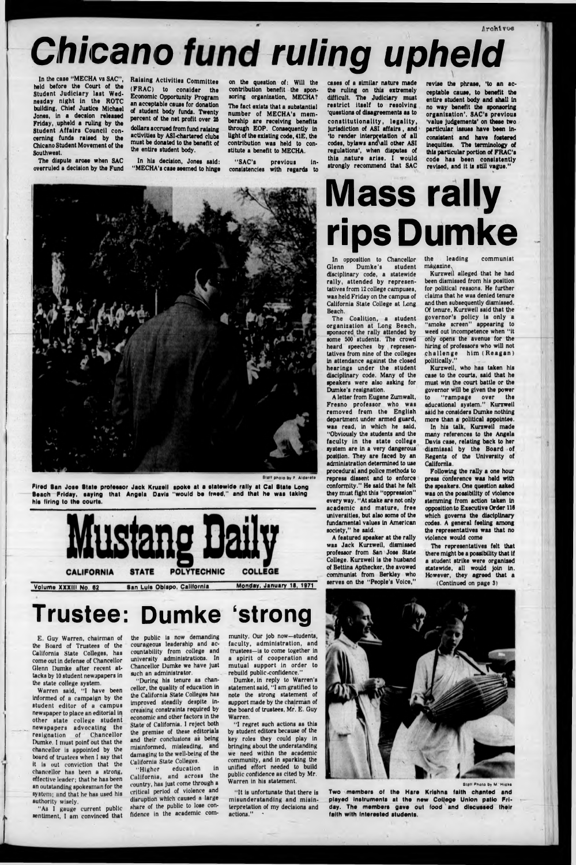**Jirohtvoe**



**Staff photo by** *F* Alderete

# *Chicano fund ruling upheld*

In the case "MECHA vs SAC", held before the Court of the Student Judiciary last Wednesday night In the ROTC building, Chief Justice Michael Jones, In a decslon released Friday, upheld a ruling by the Student Affairs Council concerning funds raised by the Chicano Student Movement of the Southwest,

The dispute arose when SAC overruled a decision by the Fund Raising Activities Committee (FRAC) to consider the Economic Opportunity Program an acceptable cause for donation of student body funds. Twenty percent of the net profit over 25

dollars accrued from fund raising activities by ASI-chartered clubs must be donated to the benefit of the entire student body.

In his decision, Jones said: "MECHA's case seemed to hinge

on the queation of: Will the contribution benefit the sponsoring organization, MECHA? The fact exlata that a substantial number of MECHA'a membership are receiving benefits through EOP. Consequently in light of the existing code, 41E, the contribution was held to constitute a benefit to MECHA.

"SAC's previous inconsistencies with regards to

cases of a similar nature made the ruling on this extremely difficult. The Judiciary must restrict itself to resolving 'questions of disagreements as to constitutionality, legality, Jurisdiction of ASI affairs , and 'to render Interpretation of all codes, bylaws and all other ASI regulations', when disputes of this nature arise. I would strongly recommend that SAC

the public is now demanding courageous leadership and accountability from college and university administrations. In Chancellor Dumke we have Just such an administrator.

**revise the phrase, 'to an acceptable cause, to benefit the entire student body and shall in no way benefit the sponsoring organization'. SAC's previous 'value Judgements' on these two particular Issues have been inconsistent and have fostered inequities. The terminology of this particular portion of FRAC's code has been consistently revised, and it is still vague."**

munity, Our job now-students, faculty, administration, and trustees—is to come together in a spirit of cooperation and mutual support in order to rebuild public-confidence."

**Fired San Jose S tate protesaor Jack Kruzeil spoke at a statew ide rally at Cal State Long** Beach Friday, saying that Angela Davis "would be freed," and that he was taking **his firing to the oourts.**



E. Guy Warren, chairman of the Board of Trustees of the California State Colleges, has come out in defense of Chancellor Glenn Dumke after recent attacks by 10 student newspapers in the state college system.

In opposition to Chancellor<br>Glenn Dumke's student Dumke's student disciplinary code, a statewide rally, attended by representatives from 12 college campuses, was held Friday on the campus of California State College at Long Beach.

A letter from Eugene Zumwalt, Fresno professor who was removed from the English department under armed guard, was read, in which he said, "Obviously the students and the faculty in the state college system are in a very dangerous position. They are faced by an administration determined to use procedural and police methods to repress dissent and to enforce conformity." He said that he felt they must fight this "oppression" every way. "At stake are not only academic and mature, free universities, but also some of the fundamental values in American society," he said.

Warren said, "I have been informed of a campaign by the student editor of a campus newspaper to place an editorial in other state college student newspapers advocating the resignation of Chancellor Dumke. I must point out that the chancellor is appointed by the board of trustees when I say that It Is out conviction that the chancellor has been a strong, effective leader; that he has been an outstanding spokesman for the system; and that he has used his authority wisely.

A featured speaker at the rally was Jack Kurzweil, dismissed professor from San Jose State College. Kurzweil is the husband of Bettina Apthecker, the avowed communist from Berkley who serves on the "People's Voice,"

"As I gauge current public sentiment, I am convinced that

**San Luis Obispo, California**

the leading communist magazine.

"During his tenure as chancellor, the quality of education In the California State Colleges has Improved steadily despite Increasing constraints required by economic and other factors in the State of California. I reject both the premise of these editorials and their conclusions as being misinformed, misleading, and damaging to the well-being of the California State Colleges.

"Higher education in California, and across the country, has Just come through a critical period of violence and disruption which caused a large share of the public to lose confidence In the academic com**M onday, January 16, 1971**

**Two members of the Hare Krishna faith chanted and** played instruments at the new College Union patio Friday. The members gave out food and discussed their **faith with Interested students.**

Dumke, in reply to Warren's statement said, "I am gratified to note the strong statement of support made by the chairman of the board of trustees, Mr. E. Guy Warren,

"I regret such actions as this by student editors because of the key roles they could play in bringing about the understanding we need within the academic community, and in sparking the unified effort needed to build public confidence as cited by Mr. Warren in his statement.

"It is unfortunate that there is misunderstanding and misinterpretation of my decisions and actions."



**Staff Photo by M. Highs** 

## **Trustee: Dumke 'strong**

# **Mass rally rips Dumke**

The Coalition, a student organization at Long Beach, sponsored the rally attended by some 500 students. The crowd heard speeches by representatives from nine of the colleges in attendance against the closed hearings under the student disciplinary code. Many of the speakers were also asking for Dumke's resignation.

Kurzweil alleged that he had been dismissed from his position for political reasons. He further claims that he was denied tenure and then subsequently dismissed. Of tenure, Kurzweil said that the governor's policy Is only a "smoke screen" appearing to weed out Incompetence when "it only opens the avenue for the hiring of professors who will not challenge him (Reagan) politically."

Kurzweil, who has taken his case to the courts, said that he must win the court battle or the governor will be given the power to "ram page over the educational system." Kurzweil said he considers Dumke nothing more than a political appointee.

In his talk, Kurzweil made many references to the Angela Davis case, relating back to her dismissal by the Board of Regents of the University of California.

Following the rally a one hour press conference was held with the speakers. One question asked was on the possibility of violence stemming from action taken in opposition to Executive Order 116 which governs the disciplinary codes. A general feeling among the representatives was that no violence would come

The representatives felt that there might be a possibility that if a student strike were organised statewide, all would Join in. However, they agreed that a

(Continued on page 3)

<u>Volume XXXIII No. 62</u>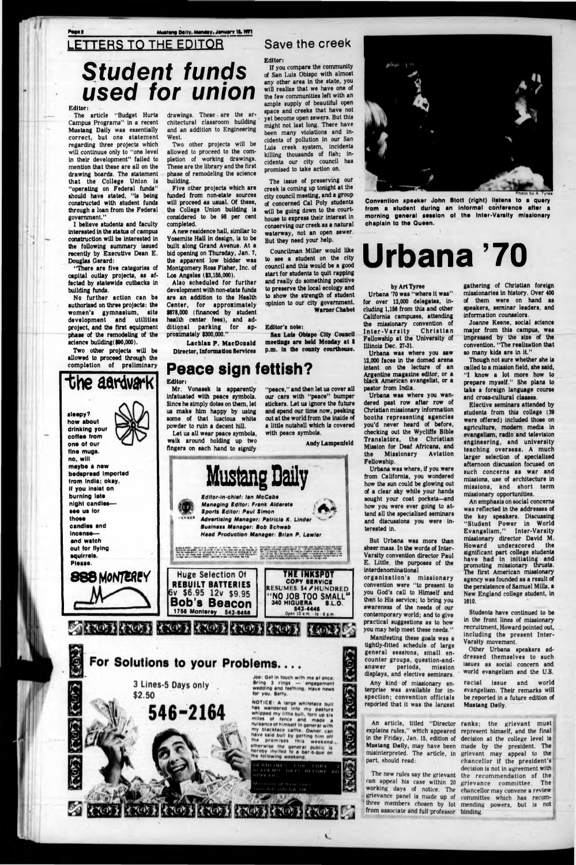#### Mustang Daily, Menday, January 18, 1971

# LETTERS TO THE EDITOR *Student funds used for union*

#### Editor:

Page **1** 

The article "Budget Hurts Campus Programs" in a recent Mustang Dally was essentially correct, but one statement regarding three projects which will continuue only to "one level In their development" failed to mention that these are all on the drawing boards. The statement that the College Union is "operating on Federal funds" should have stated, "is being constructed with student funds through a loan from the Federal government."

No further action can be authorised on three projects: the women's gymnasium, site development and utilities project, and the first equipment phase of the remodeling of the science building(\$90,000).

Two other projects will be allowed to proceed through the completion of preliminary

I believe students and faculty interested In the status of campus construction will be interested in the following summary Issued recently by Executive Dean E. Douglas Gerard:

"There are five categories of capital outlay projects, as affected by statewide cutbacks In building funds.

drawings. These - are the architectural classroom building and an addition to Engineering West.

Two other projects will be allowed to proceed to the completion of working drawings. These are the library and the first phase of remodeling the science building.

Five other projects which are funded from non-state sources will proceed as usual. Of these, the College Union building is considered to be 98 per cent completed.

A new residence hall, similar to Yosemite Hall in design, is to be built along Grand Avenue. At a bid opening on Thursday, Jan. 7, the apparent low bidder was Montgomery Ross Fisher, Inc. of Los Angeles (93,155,000).

Mr. Vonasek is apparently Infatuated with peace symbols. Since he simply dotes on them, let us make him happy by using some of that luscious white powder to ruin a decent hill.

Also scheduled for further development with non-state funds are an addition to the Health Center, for approximately 9878,000 (financed by student health center fees), and additional parking for approximately 9300,000."

Lachlan **P.** MacDonald Director, Information Services

#### **Peace sign fettish?**

#### Save the creek

Editor:

If you compare the community of San Luis Obispo with almost any other area in the state, you will realize that we have one of the few communities left with an ample supply of beautiful open space and creeks that have not yet become open sewers. But this might not last long. There have been many violations and incidents of pollution in our San Luis creek system, Incidents killing thousands of fish; incidents our city council has promised to take action on.

The issue of preserving our creek is coming up tonight at the city council meeting, and a group of concerned Cal Poly students will be going down to the courthouse to express their Interest in conserving our creek as a natural waterway, not an open sewer. But they need your help.

Councilman Miller would like to see a student on the city council and this would be a good start for students to quit rapping and really do something positive to preserve the local ecology and to show the strength of student opinion to our city government. Warner Chabot

#### Editor's note:

organization's missionary convention were "to present to

San Luis Obispo City Council meetings are held Monday at **9** p.m. in the county courthouse.

> explains rules," which appeared represent himself, and the final in the Friday, Jan. 15, edition of decision at the college level is Mustang Dally, may have been made by the president. The misinterpreted. The article, in grievant may appeal to the part, should read:



Let us all wear peace symbols, wslk around holding up two fingers on each hand to signify

"peaco," and then let us cover all our cars with "peace" bumper stickers. Let us ignore the future and spend our time now, peeking out at the world from the Inside of a little nutshell which is covered with peace symbols.

Andy Lampenleld

Other Urbana speakers addressed them selves to such issues as social concern and world evangelism and the U.S.

#### **Mustang Daily** *Edltor-ln-chlat: Ian McCaba Managing Editor: Frank Aldarata* **Sports** *Editor: Paul Simon* Advertising Manager: Patricia K. Linder *Butina* **si** *Managar: Bob Schwab Hoad Production Managar: Brian P. Lawlar* . . \* **••to •><\*\*• \*\*# • \*** *\* ••at* **\*#•»- \*** *w* **eu'saee\* \*\*•** *a>* **••** *-a* **• «#■•##• •«\*"•## m Mr** •r <sup>m</sup> *-\*\*\*•••• m* tr •■\*#•'» • w«» .•»\*•«. r *wwww a* **vw** *at* **•# »\*\*» e\*ee** *m* **\*«e <\*«\*\*« »•#•#** *iwm* u«iiiNot Mu *m* »'ss\* ■ in Me I'M .e\* w *aatr* '• w M, •T ' •' MS *00* \* «M •• **#•\*••# few •#'»»»\*•• (rws\*** •\*»•« \*«•#> *-m* • • •» *<sup>f</sup>* iit H N *■-* • «rw#••■»•#• mt \* •SsreM\*' *<•\* ta •am* • •# **Huge Selection Of REBUILT BATTERIES THE INKSPOT COPY SERVICE**



# **Urbana '70**

#### by Art Tyree

chaplain to the Queen.

Urbana '70 was "where it was" for over 12,000 delegates, including 1,158 from this and other California campuses, attending the missionary convention of<br>Inter-Varsity Christian Inter-Varsity Fellowship at the University of Illinois Dec. 27-31.

Urbana was where you saw 12,000 faces in the domed arena Intent on the lecture of an Argentine magazine editor, or a black American evangelist, or a pastor from India.

Urbana was where you wandered past row after row of Christian missionary information booths representing agencies you'd never heard of before, checking out the Wycliffe Bible Translators, the Christian Mission for Deaf Africans, and the Missionary Aviation Fellowship.

Urbana was where, if you were from California, you wondered how the sun could be glowing out of a clear sky while your hands sought your coat pockets—and how you were ever going to attend all the specialized seminars and discussions you were interested in.

But Urbana was more than sheer mass. In the words of Inter-Varsity convention director Paul E. Little, the purposes of the interdenominational

you God's call to Himself and then to His service; to bring you awareness of the needs of our contemporary world; and to give practical suggestions as to how you may help meet these needs."

Manifesting these goals was a tightly-fitted schedule of large general sessions, small encounter groups, questlon-andanswer periods, mission displays, and elective seminars.

Any kind of missionary enterprise was available for inspection; convention officials reported that It was the largest



from a student during an informal conference after a morning general session of the Inter-Varsity missionary



gathering of Christian foreign missionaries in history. Over 400 of them were on hand as speakers, seminar leaders, and Information counselors.

Joanne Keene, social science major from this campus, was impressed by the size of the convention. "The realization that so many kids are in it."

Though not sure whether she is called to a mission field, she said, "I know a lot more how to prepare myself." She plans to take a foreign language course and cross-cultural classes.

Elective seminars attended by students from this college (39 were offered) included those on agriculture, modem media in evangelism, radio and television engineering, and university teaching overseas. A much larger selection of specialized afternoon discussion focused on such concerns as war and missions, use of architecture in missions, and short term missionary opportunities.

can appeal his case within 20 grievance committee. The working days of notice. The chancellor may convene a review grievance panel is made up of committee which has recom-'' three members chosen by lot mending powers, but is not from associate and full professor binding.

An emphasis on social concerns was reflected in the addresses of the key speakers. Discussing "Student Power in World Evangelism." Inter-Varsity missionary director David M. Howard underscored the significant part college students have had in initiating and promoting missionary thrusts.<br>The first American missionary The first American missionary agency was founded as a result of the persistence of Samuel Mills, a

New England college student, in 1810.

Students have continued to be in the front lines of missionary recruitment, Howard pointed out, including the present Inter-Varsity movement.

racial issue and world evangelism. Their remarks will be reported in a future edition of Mustang Dally.

An article, titled "Director ranks; the grievant must The new rules say the grievant the recommendation of the chancellor if the president's decision is not in agreement with **ishe ishe ishe internal internal internal internal internal internal internal internal internal internal internal internal internal internal internal internal internal internal internal internal internal internal internal** 

*,***...— , • For Solutions to your Problems\_\_\_**

> **3 Lines-5 Days only \$2.50**

Joe: Get in touch with me at once. **Bring 3 rings — engagement** wedding and teething. Have news for you, Betty.

**NOTICE: A large whiteface bull** has wandered into my pasture whipped my little bull, torn up six miles of fence and made a **nul\*anca of hlm »alf tn general w ith** my blackface cattle. Owner. can have said bull by getting him off **the premises this weekend,.. otherw i»e the general public I\* hereby invited to a bar b qua on** the following weekend.

ADEMIC DAYS REFORE  $PPTAD$ 

**546-2164**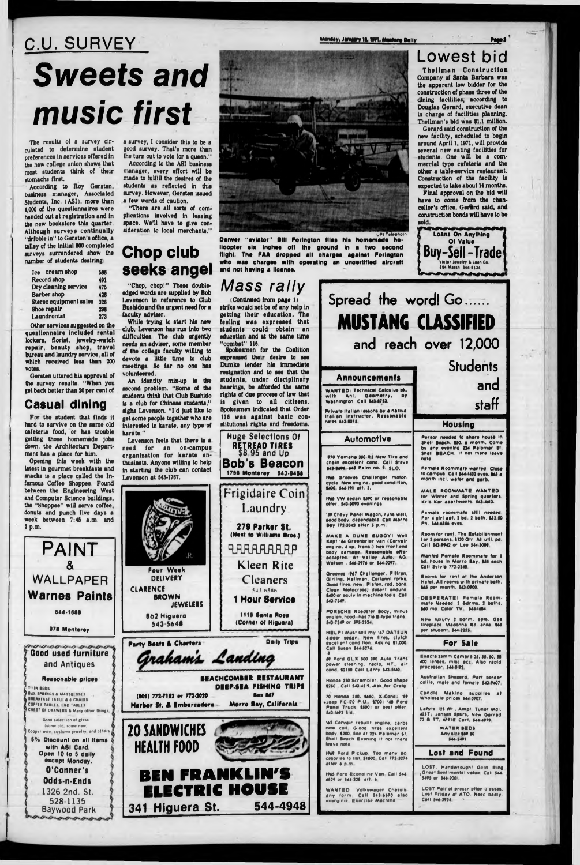# C.U. SURVEY **Sweets and** music first

The results of a survey circulated to determine student preferences in services offered in the new college union shows that most students think of their stomachs first.

According to Roy Gersten, business manager, Associated Students, Inc. (ASI), more than 4,000 of the questionnaires were handed out at registration and in the new bookstore this quarter. Although surveys continually "dribble in" to Gersten's office, a talley of the initial 800 completed surveys surrendered show the number of students desiring:

| Ice cream shop         | 586 |
|------------------------|-----|
| <b>Record shop</b>     | 491 |
| Dry cleaning service   | 475 |
| <b>Barber</b> shop     | 428 |
| Stereo equipment sales | 326 |
| Shoe repair            | 298 |
| Laundromat             | 273 |

Other services suggested on the questionnaire included rental lockers, florist, jewelry-watch repair, beauty shop, travel bureau and laundry service, all of which received less than 200 votes

Gersten uttered his approval of the survey results. "When you<br>get back better than 20 per cent of

#### **Casual dining**

For the student that finds it getting those homemade jobs

Opening this week with the latest in gourmet breakfasts and the "Shoppee" will serve coffee,

**PAINT** WALLPAPER a survey, I consider this to be a good survey. That's more than the turn out to vote for a queen."

According to the ASI business manager, every effort will be made to fulfill the desires of the students as reflected in this survey. However, Gersten issued a few words of caution.

"There are all sorts of complications involved in leasing space. We'll have to give consideration to local merchants."

#### **Chop club** seeks angel

"Chop, chop!" These doubleedged words are supplied by Bob Levenson in reference to Club Bushido and the urgent need for a faculty adviser.

While trying to start his new club. Levenson has run into two difficulties. The club urgently needs an adviser, some member of the college faculty willing to devote a little time to club meetings. So far no one has volunteered.

An identity mix-up is the second problem. "Some of the students think that Club Bushido is a club for Chinese students." sighs Levenson. "I'd just like to

# Four Week **DELIVERY**

enday, January 18, 1971, Muslang Dally



Denver "aviator" Bill Forington files his homemade helicopter six inches off the ground in a two second flight. The FAA dropped all charges against Forington who was charges with operating an uncertified aircraft and not having a license.

### Mass rally

(Continued from page 1) strike would not be of any help in getting their education. The feeling was expressed that students could obtain an education and at the same time "combat" 116.

Spokesmen for the Coalition expressed their desire to see Dumke tender his immediate resignation and to see that the students, under disciplinary hearings, be afforded the same rights of due process of law that is given to all citizens. Spokesmen indicated that Order 116 was against basic con-





### **Lowest bid**

Theilman Construction Company of Santa Barbara was the apparent low bidder for the construction of phase three of the dining facilities, according to Douglas Gerard, executive dean in charge of facilities planning. Theilman's bid was \$1.1 million.

Gerard said construction of the new facility, scheduled to begin around April 1, 1971, will provide several new eating facilities for students. One will be a commercial type cafeteria and the other a table-service restaurant. Construction of the facility is expected to take about 14 months.

Final approval on the bid will have to come from the chancellor's office. Gerard said, and construction bonds will have to be sold.